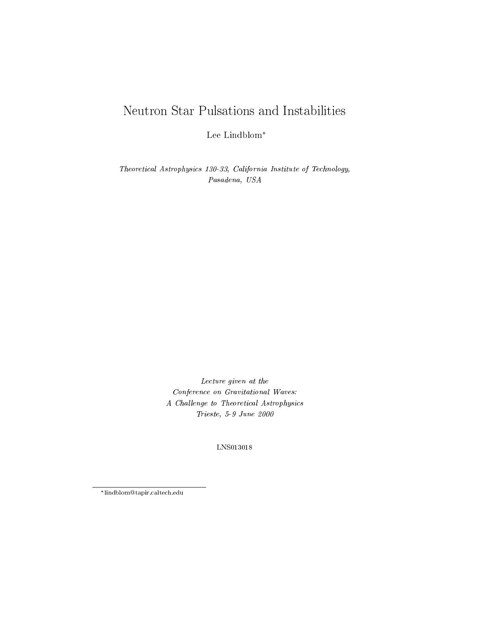# Neutron Star Pulsations and Instabilities

Lee Lindblom

Theoretical Astrophysics 130-33, California Institute of Technology, Pasadena, USA

> Lecture given at the Conference on Gravitational Waves: A Challenge to Theoretical Astrophysics Trieste, 5-9 June 2000

> > LNS013018

lindblom@tapir.caltech.edu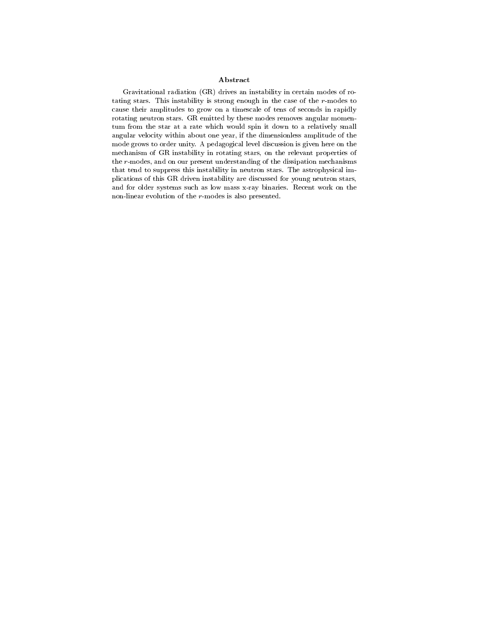### Abstract

Gravitational radiation (GR) drives an instability in certain modes of rotating stars. This instability is strong enough in the case of the r-modes to cause their amplitudes to grow on a timescale of tens of seconds in rapidly rotating neutron stars. GR emitted by these modes removes angular momentum from the star at a rate which would spin it down to a relatively small angular velocity within about one year, if the dimensionless amplitude of the mode grows to order unity. A pedagogical level discussion is given here on the mechanism of GR instability in rotating stars, on the relevant properties of the r-modes, and on our present understanding of the dissipation mechanisms that tend to suppress this instability in neutron stars. The astrophysical implications of this GR driven instability are discussed for young neutron stars, and for older systems such as low mass x-ray binaries. Recent work on the non-linear evolution of the r-modes is also presented.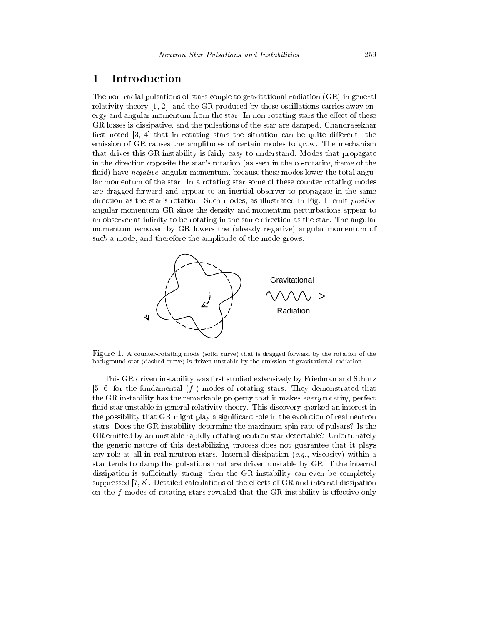### 1 Introduction

The non-radial pulsations of stars couple to gravitational radiation (GR) in general relativity theory [1, 2], and the GR produced by these oscillations carries away energy and angular momentum from the star. In non-rotating stars the effect of these GR losses is dissipative, and the pulsations of the star are damped. Chandrasekhar first noted  $[3, 4]$  that in rotating stars the situation can be quite different: the emission of GR causes the amplitudes of certain modes to grow. The mechanism that drives this GR instability is fairly easy to understand: Modes that propagate in the direction opposite the star's rotation (as seen in the co-rotating frame of the fluid) have *negative* angular momentum, because these modes lower the total angular momentum of the star. In a rotating star some of these counter rotating modes are dragged forward and appear to an inertial observer to propagate in the same direction as the star's rotation. Such modes, as illustrated in Fig. 1, emit positive angular momentum GR since the density and momentum perturbations appear to an observer at infinity to be rotating in the same direction as the star. The angular momentum removed by GR lowers the (already negative) angular momentum of such a mode, and therefore the amplitude of the mode grows.



Figure 1: A counter-rotating mode (solid curve) that is dragged forward by the rotation of the background star (dashed curve) is driven unstable by the emission of gravitational radiation.

the GR instability has the remarkable property that it makes *every* rotating perfect This GR driven instability was first studied extensively by Friedman and Schutz [5, 6] for the fundamental  $(f<sub>-</sub>)$  modes of rotating stars. They demonstrated that fluid star unstable in general relativity theory. This discovery sparked an interest in the possibility that GR might play a signicant role in the evolution of real neutron stars. Does the GR instability determine the maximum spin rate of pulsars? Is the GR emitted by an unstable rapidly rotating neutron star detectable? Unfortunately the generic nature of this destabilizing process does not guarantee that it plays any role at all in real neutron stars. Internal dissipation  $(e.g.,$  viscosity) within a star tends to damp the pulsations that are driven unstable by GR. If the internal dissipation is sufficiently strong, then the  $GR$  instability can even be completely suppressed  $[7, 8]$ . Detailed calculations of the effects of GR and internal dissipation on the  $f$ -modes of rotating stars revealed that the GR instability is effective only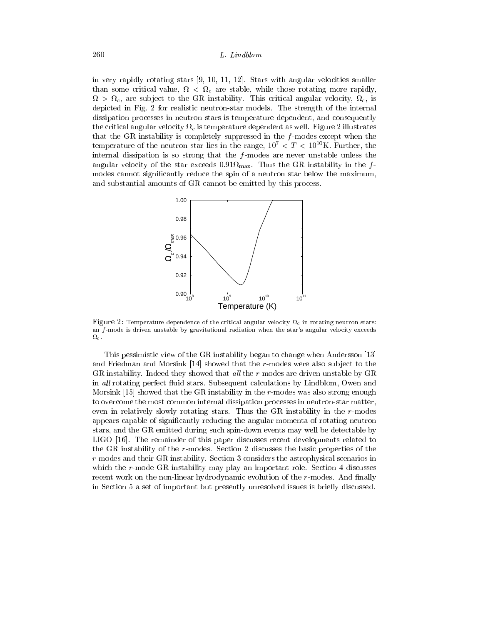in very rapidly rotating stars [9, 10, 11, 12]. Stars with angular velocities smaller than some critical value, <sup>&</sup>lt; <sup>c</sup> are stable, while those rotating more rapidly,  $\ldots$  ,  $\ldots$  are subject to the Greenhously. This critical angular velocity,  $\ldots$ depicted in Fig. 2 for realistic neutron-star models. The strength of the internal dissipation processes in neutron stars is temperature dependent, and consequently the critical angular velocity  $c$  is temperature 2 illustrates  $c$  is the critical as well. Figure 2 illustrates  $c$ that the GR instability is completely suppressed in the  $f$ -modes except when the temperature of the neutron star lies in the range,  $10^7 < T < 10^{10}$ K. Further, the internal dissipation is so strong that the  $f$ -modes are never unstable unless the and  $\alpha$  is the star exceeds 0:01  $\alpha$  in the f  $\alpha$  in the f  $\alpha$  in the f  $\alpha$  in the f  $\alpha$ modes cannot signicantly reduce the spin of a neutron star below the maximum, and substantial amounts of GR cannot be emitted by this process.



Figure 2: Temperature dependence of the critical angular velocity <sup>c</sup> in rotating neutron stars: an  $f$ -mode is driven unstable by gravitational radiation when the star's angular velocity exceeds  $\Omega_c$ . c.

This pessimistic view of the GR instability began to change when Andersson [13] and Friedman and Morsink  $[14]$  showed that the r-modes were also subject to the GR instability. Indeed they showed that all the  $r$ -modes are driven unstable by  $GR$ in all rotating perfect fluid stars. Subsequent calculations by Lindblom, Owen and Morsink [15] showed that the GR instability in the r-modes was also strong enough to overcome the most common internal dissipation processes in neutron-star matter, even in relatively slowly rotating stars. Thus the GR instability in the r-modes appears capable of signicantly reducing the angular momenta of rotating neutron stars, and the GR emitted during such spin-down events may well be detectable by LIGO [16]. The remainder of this paper discusses recent developments related to the GR instability of the r-modes. Section 2 discusses the basic properties of the r-modes and their GR instability. Section 3 considers the astrophysical scenarios in which the r-mode GR instability may play an important role. Section 4 discusses recent work on the non-linear hydrodynamic evolution of the r-modes. And finally in Section 5 a set of important but presently unresolved issues is briefly discussed.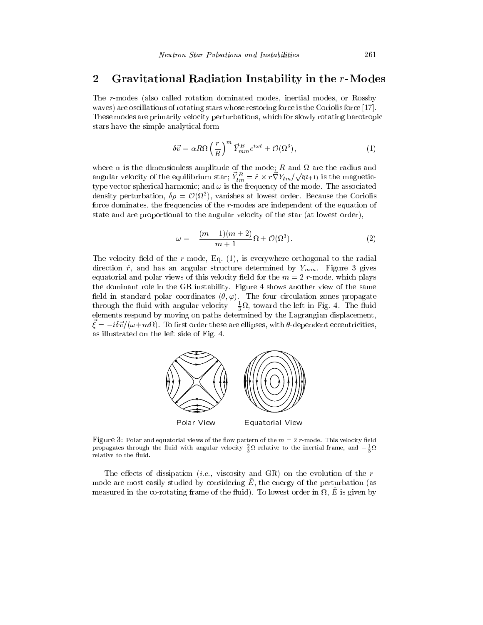### 2 Gravitational Radiation Instability in the r-Modes

The r-modes (also called rotation dominated modes, inertial modes, or Rossby waves) are oscillations of rotating stars whose restoring force is the Coriolis force [17]. These modes are primarily velocity perturbations, which for slowly rotating barotropic stars have the simple analytical form

$$
\delta \vec{v} = \alpha R \Omega \left(\frac{r}{R}\right)^m \vec{Y}_{mm}^B e^{i\omega t} + \mathcal{O}(\Omega^3),\tag{1}
$$

where a is the dimensionless amplitude of the mode; R and We are also the radius and the mode. angular velocity of the equilibrium star;  $Y_{lm}^B = \hat{r} \times r \nabla Y_{lm} / \sqrt{l(l+1)}$  is the magnetictype vector spherical harmonic; and  $\omega$  is the frequency of the mode. The associated density perturbation,  $\vartheta p = O(\Omega^2)$ , vanishes at lowest order. Decause the Coriolis force dominates, the frequencies of the r-modes are independent of the equation of state and are proportional to the angular velocity of the star (at lowest order),

$$
\omega = -\frac{(m-1)(m+2)}{m+1}\Omega + \mathcal{O}(\Omega^3). \tag{2}
$$

The velocity field of the  $r$ -mode, Eq.  $(1)$ , is everywhere orthogonal to the radial direction  $\hat{r}$ , and has an angular structure determined by  $Y_{mm}$ . Figure 3 gives equatorial and polar views of this velocity field for the  $m = 2$  r-mode, which plays the dominant role in the GR instability. Figure 4 shows another view of the same field in standard polar coordinates  $(\theta, \varphi)$ . The four circulation zones propagate through the fluid with angular velocity  $-\frac{1}{3}M$ , toward the left in Fig. 4. The fluid elements respond by moving on paths determined by the Lagrangian displacement,  $\zeta = -i\sigma v/\omega + i\omega v$ . To mist order these are empses, with  $v$ -dependent eccentricities, as illustrated on the left side of Fig. 4.



Figure 3: Polar and equatorial views of the flow pattern of the  $m = 2$  r-mode. This velocity field propagates through the fluid with angular velocity  $\frac{1}{3}M$  relative to the inertial frame, and  $-\frac{1}{3}M$ relative to the fluid.

The effects of dissipation (*i.e.*, viscosity and GR) on the evolution of the  $r$  $m$  are most easily studied by considering  $E$ , the energy of the perturbation (as  $m$  as the co-rotating frame of the fruity. To lowest order in  $u$ ,  $E$  is given by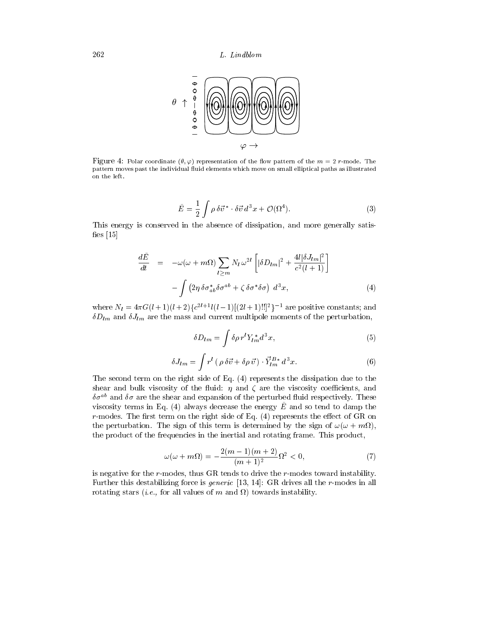

Figure 4: Polar coordinate  $(\theta, \varphi)$  representation of the flow pattern of the  $m = 2$  r-mode. The pattern moves past the individual fluid elements which move on small elliptical paths as illustrated on the left.

$$
\tilde{E} = \frac{1}{2} \int \rho \,\delta \vec{v}^* \cdot \delta \vec{v} \, d^3 x + \mathcal{O}(\Omega^4). \tag{3}
$$

This energy is conserved in the absence of dissipation, and more generally satis fies  $[15]$ 

$$
\frac{d\tilde{E}}{dt} = -\omega(\omega + m\Omega) \sum_{l \ge m} N_l \,\omega^{2l} \left[ |\delta D_{lm}|^2 + \frac{4l |\delta J_{lm}|^2}{c^2 (l+1)} \right] \n- \int \left( 2\eta \,\delta \sigma_{ab}^* \delta \sigma^{ab} + \zeta \,\delta \sigma^* \delta \sigma \right) \, d^3 x,\tag{4}
$$

where  $N_l = 4\pi G(l+1)(l+2)G^{2l+1}l(l-1)|(2l+1)!!$  are positive constants; and  $\delta D_{lm}$  and  $\delta J_{lm}$  are the mass and current multipole moments of the perturbation,

$$
\delta D_{lm} = \int \delta \rho \, r^l Y_{lm}^* d^3 x,\tag{5}
$$

$$
\delta J_{lm} = \int r^l \left( \rho \, \delta \vec{v} + \delta \rho \, \vec{v} \right) \cdot \vec{Y}_{lm}^{B*} \, d^3 x. \tag{6}
$$

The second term on the right side of Eq.  $(4)$  represents the dissipation due to the shear and bulk viscosity of the fluid:  $\eta$  and  $\zeta$  are the viscosity coefficients, and  $\sigma\sigma^+$  and  $\sigma\sigma$  are the shear and expansion of the perturbed fluid respectively. These viscosity terms in Eq. (4) always decrease the energy  $\tilde{E}$  and so tend to damp the  $r$ -modes. The first term on the right side of Eq.  $(4)$  represents the effect of GR on the perturbation. The sign of this term is determined by the sign of  $\mu$ ,  $\mu$  ,  $\mu$ ,  $\mu$ the product of the frequencies in the inertial and rotating frame. This product,

$$
\omega(\omega + m\Omega) = -\frac{2(m-1)(m+2)}{(m+1)^2} \Omega^2 < 0,\tag{7}
$$

is negative for the r-modes, thus GR tends to drive the r-modes toward instability. Further this destabilizing force is generic [13, 14]: GR drives all the r-modes in all rotating stars (i.e., for all values of <sup>m</sup> and ) towards instability.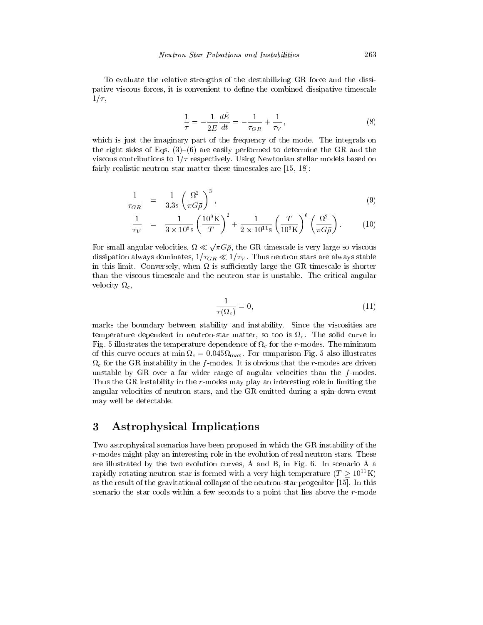To evaluate the relative strengths of the destabilizing GR force and the dissipative viscous forces, it is convenient to dene the combined dissipative timescale  $1/\tau$ ,

$$
\frac{1}{\tau} = -\frac{1}{2\tilde{E}} \frac{d\tilde{E}}{dt} = -\frac{1}{\tau_{GR}} + \frac{1}{\tau_V},\tag{8}
$$

which is just the imaginary part of the frequency of the mode. The integrals on the right sides of Eqs.  $(3)-(6)$  are easily performed to determine the GR and the viscous contributions to  $1/\tau$  respectively. Using Newtonian stellar models based on fairly realistic neutron-star matter these timescales are [15, 18]:

$$
\frac{1}{\tau_{GR}} = \frac{1}{3.3s} \left( \frac{\Omega^2}{\pi G \bar{\rho}} \right)^3, \tag{9}
$$

$$
\frac{1}{\tau_V} = \frac{1}{3 \times 10^8 \text{s}} \left(\frac{10^9 \text{K}}{T}\right)^2 + \frac{1}{2 \times 10^{11} \text{s}} \left(\frac{T}{10^9 \text{K}}\right)^6 \left(\frac{\Omega^2}{\pi G \bar{\rho}}\right). \tag{10}
$$

For small angular velocities,  $\Omega \ll \sqrt{\pi G \bar{\rho}}$ , the GR timescale is very large so viscous dissipation always dominates,  $1/\tau_{GR} \ll 1/\tau_V$ . Thus neutron stars are always stable in this limit. Conversely, when the GR timescale is such a such as the GR timescale is shortered in the GR time than the viscous timescale and the neutron star is unstable. The critical angular velocity and contact the contact of the contact of the contact of the contact of the contact of the contact of

$$
\frac{1}{\tau(\Omega_c)} = 0,\t\t(11)
$$

marks the boundary between stability and instability. Since the viscosities are temperature dependent in neutron-star matter, so too is c. The solid curve in  $\mathbf{F}$  is indicated the temperature dependence of  $\mathbf{F}$  for the  $\mathbf{F}$  modes. The minimum of this curve occurs at minimal  $\alpha$  ,  $\alpha$  ,  $\alpha$  is computed from  $\alpha$  and  $\alpha$  is also interested from  $\alpha$ c for the GR instability in the first  $\mu$  -modes. It is obvious that the r-modes are driven are driven. unstable by GR over a far wider range of angular velocities than the  $f$ -modes. Thus the GR instability in the r-modes may play an interesting role in limiting the angular velocities of neutron stars, and the GR emitted during a spin-down event may well be detectable.

### 3 Astrophysical Implications

Two astrophysical scenarios have been proposed in which the GR instability of the r-modes might play an interesting role in the evolution of real neutron stars. These are illustrated by the two evolution curves, A and B,in Fig. 6. In scenario A a rapidly rotating neutron star is formed with a very high temperature  $(T \geq 10^{11} \text{K})$ as the result of the gravitational collapse of the neutron-star progenitor [15]. In this scenario the star cools within a few seconds to a point that lies above the r-mode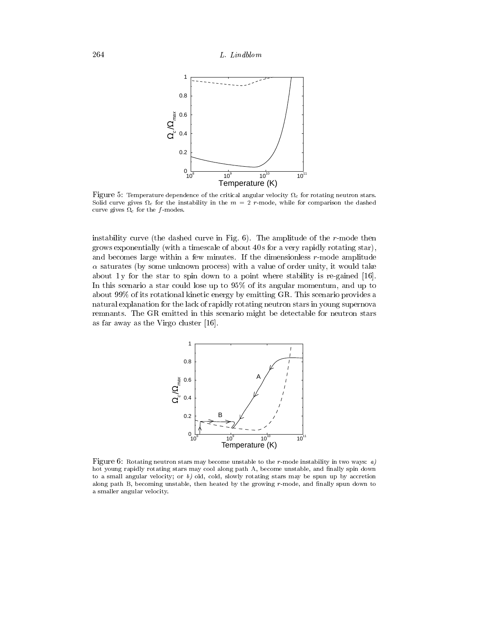

Figure 5: Temperature dependence of the critical angular velocity <sup>c</sup> for rotating neutron stars. Solid curve gives <sup>c</sup> for the instability in the <sup>m</sup> = 2 r-mode, while for comparison the dashed curve gives the formulation of the formulation of the formulation of the formulation of the formulation of the formulation of the formulation of the formulation of the formulation of the formulation of the formulation of t

instability curve (the dashed curve in Fig. 6). The amplitude of the r-mode then grows exponentially (with a timescale of about 40 s for a very rapidly rotating star), and becomes large within a few minutes. If the dimensionless r-mode amplitude saturates (by some unknown process) with a value of order unity, it would take about 1 y for the star to spin down to a point where stability is re-gained [16]. In this scenario a star could lose up to 95% of its angular momentum, and up to about 99% of its rotational kinetic energy by emitting GR. This scenario provides a natural explanation for the lack of rapidly rotating neutron stars in young supernova remnants. The GR emitted in this scenario might be detectable for neutron stars as far away as the Virgo cluster [16].



Figure 6: Rotating neutron stars may become unstable to the r-mode instability in two ways: a) hot young rapidly rotating stars may cool along path A, become unstable, and finally spin down to a small angular velocity; or  $b$ ) old, cold, slowly rotating stars may be spun up by accretion along path B, becoming unstable, then heated by the growing  $r$ -mode, and finally spun down to a smaller angular velocity.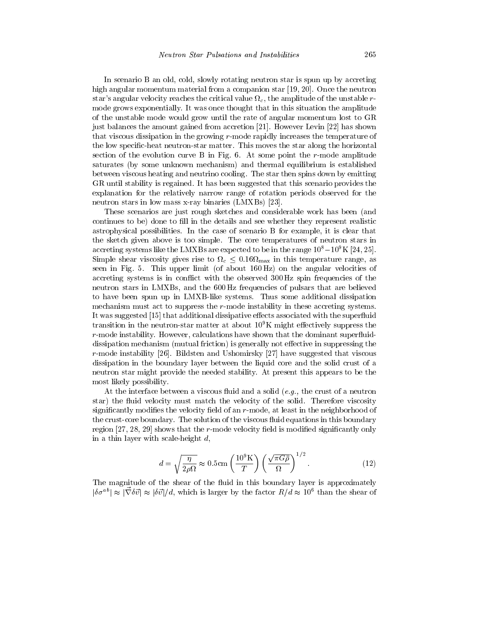In scenario B an old, cold, slowly rotating neutron star is spun up by accreting high angular momentum material from a companion star [19, 20]. Once the neutron star's angular velocity reaches the critical value  $\Omega_c$ , the amplitude of the unstable rmode grows exponentially. It was once thought that in this situation the amplitude of the unstable mode would grow until the rate of angular momentum lost to GR just balances the amount gained from accretion [21]. However Levin [22] has shown that viscous dissipation in the growing r-mode rapidly increases the temperature of the low specic-heat neutron-star matter. This moves the star along the horizontal section of the evolution curve B in Fig. 6. At some point the r-mode amplitude saturates (by some unknown mechanism) and thermal equilibrium is established between viscous heating and neutrino cooling. The star then spins down by emitting GR until stability is regained. It has been suggested that this scenario provides the explanation for the relatively narrow range of rotation periods observed for the neutron stars in low mass x-ray binaries (LMXBs) [23].

These scenarios are just rough sketches and considerable work has been (and continues to be) done to fill in the details and see whether they represent realistic astrophysical possibilities. In the case of scenario B for example, it is clear that the sketch given above is too simple. The core temperatures of neutron stars in accreting systems like the LMXBs are expected to be in the range  $10^8-10^9$ K [24, 25].  $\sim$  16  $\sim$  0:16  $\sim$  0.06  $\sim$  0.06  $\sim$  0.06  $\sim$  0.06  $\sim$  0.06  $\sim$  0.06  $\sim$  0.06  $\sim$  0.06  $\sim$  0.06  $\sim$  0.06  $\sim$ seen in Fig. 5. This upper limit (of about 160 Hz) on the angular velocities of accreting systems is in conflict with the observed 300 Hz spin frequencies of the neutron stars in LMXBs, and the 600 Hz frequencies of pulsars that are believed to have been spun up in LMXB-like systems. Thus some additional dissipation mechanism must act to suppress the r-mode instability in these accreting systems. It was suggested [15] that additional dissipative effects associated with the superfluid transition in the neutron-star matter at about  $10^9$ K might effectively suppress the r-mode instability. However, calculations have shown that the dominant superfluiddissipation mechanism (mutual friction) is generally not effective in suppressing the r-mode instability [26]. Bildsten and Ushomirsky [27] have suggested that viscous dissipation in the boundary layer between the liquid core and the solid crust of a neutron star might provide the needed stability. At present this appears to be the most likely possibility.

At the interface between a viscous fluid and a solid  $(e.g.,$  the crust of a neutron star) the fluid velocity must match the velocity of the solid. Therefore viscosity significantly modifies the velocity field of an  $r$ -mode, at least in the neighborhood of the crust-core boundary. The solution of the viscous fluid equations in this boundary region  $[27, 28, 29]$  shows that the r-mode velocity field is modified significantly only in a thin layer with scale-height  $d$ ,

$$
d = \sqrt{\frac{\eta}{2\rho\Omega}} \approx 0.5 \,\text{cm} \left(\frac{10^9 \,\text{K}}{T}\right) \left(\frac{\sqrt{\pi G \bar{\rho}}}{\Omega}\right)^{1/2}.\tag{12}
$$

The magnitude of the shear of the fluid in this boundary layer is approximately  $|\partial \sigma^{\pm}| \approx |\nabla \sigma v| \approx |\sigma v| / a$ , which is larger by the factor  $R/d \approx 10^8$  than the shear of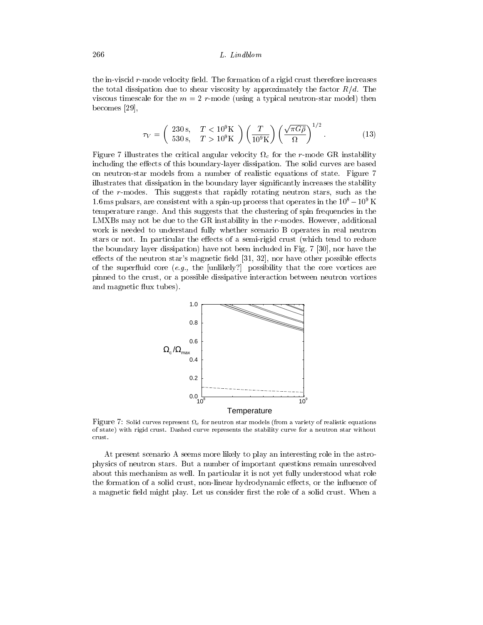the in-viscid  $r$ -mode velocity field. The formation of a rigid crust therefore increases the total dissipation due to shear viscosity by approximately the factor  $R/d$ . The viscous timescale for the  $m = 2$  r-mode (using a typical neutron-star model) then becomes [29],

$$
\tau_V = \left(\begin{array}{cc} 230 \,\text{s}, & T < 10^9 \text{K} \\ 530 \,\text{s}, & T > 10^9 \text{K} \end{array}\right) \left(\frac{T}{10^9 \,\text{K}}\right) \left(\frac{\sqrt{\pi G \bar{\rho}}}{\Omega}\right)^{1/2} . \tag{13}
$$

Figure 7 illustrates the critical angular velocity <sup>c</sup> for the r-mode GR instability including the effects of this boundary-layer dissipation. The solid curves are based on neutron-star models from a number of realistic equations of state. Figure 7 illustrates that dissipation in the boundary layer signicantly increases the stability of the r-modes. This suggests that rapidly rotating neutron stars, such as the 1.6 ms pulsars, are consistent with a spin-up process that operates in the  $10^8-10^9$  K temperature range. And this suggests that the clustering of spin frequencies in the LMXBs may not be due to the GR instability in the r-modes. However, additional work is needed to understand fully whether scenario B operates in real neutron stars or not. In particular the effects of a semi-rigid crust (which tend to reduce the boundary layer dissipation) have not been included in Fig. 7 [30], nor have the effects of the neutron star's magnetic field  $[31, 32]$ , nor have other possible effects of the superfluid core  $(e.g., the [unlikely?]$  possibility that the core vortices are pinned to the crust, or a possible dissipative interaction between neutron vortices and magnetic flux tubes).



Figure 7: Solid curves represent <sup>c</sup> for neutron star models (from a variety of realistic equations of state) with rigid crust. Dashed curve represents the stability curve for a neutron star without crust.

At present scenario A seems more likely to play an interesting role in the astrophysics of neutron stars. But a number of important questions remain unresolved about this mechanism as well. In particular it is not yet fully understood what role the formation of a solid crust, non-linear hydrodynamic effects, or the influence of a magnetic field might play. Let us consider first the role of a solid crust. When a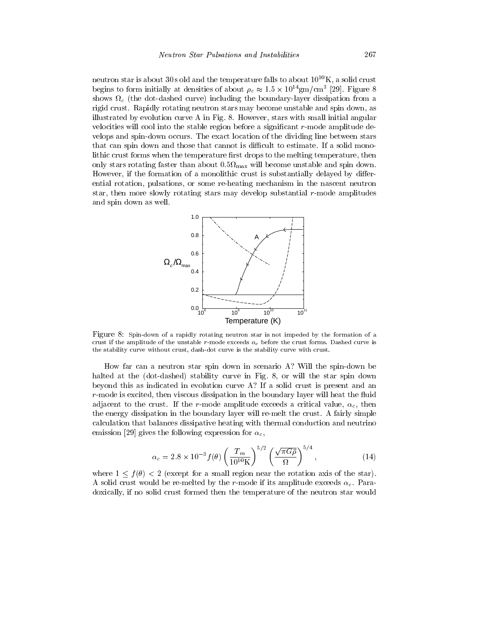neutron star is about 30 s old and the temperature falls to about  $10^{10}$ K, a solid crust begins to form initially at densities of about  $\rho_c \approx 1.5 \times 10^{-9}$  gm/cm - [29]. Figure 8 shows the dot-dashed curve  $\sim$  (the boundary-layer dissipation from a curve  $\mu$  and  $\sim$  and  $\sim$   $\sim$ rigid crust. Rapidly rotating neutron stars may become unstable and spin down, as illustrated by evolution curve A in Fig. 8. However, stars with small initial angular velocities will cool into the stable region before a significant r-mode amplitude develops and spin-down occurs. The exact location of the dividing line between stars that can spin down and those that cannot is difficult to estimate. If a solid monolithic crust forms when the temperature first drops to the melting temperature, then only stars rotating faster than about 2:5 mill by will be spin down. The spin down is spin down. However, if the formation of a monolithic crust is substantially delayed by differential rotation, pulsations, or some re-heating mechanism in the nascent neutron star, then more slowly rotating stars may develop substantial r-mode amplitudes and spin down as well.



Figure 8: Spin-down of a rapidly rotating neutron star is not impeded by the formation of a crust if the amplitude of the unstable r-mode exceeds  $\alpha_c$  before the crust forms. Dashed curve is the stability curve without crust, dash-dot curve is the stability curve with crust.

How far can a neutron star spin down in scenario A? Will the spin-down be halted at the (dot-dashed) stability curve in Fig. 8, or will the star spin down beyond this as indicated in evolution curve A? If a solid crust is present and an  $r$ -mode is excited, then viscous dissipation in the boundary layer will heat the fluid adjacent to the crust. If the r-mode amplitude exceeds a critical value,  $\alpha_c$ , then the energy dissipation in the boundary layer will re-melt the crust. A fairly simple calculation that balances dissipative heating with thermal conduction and neutrino emission [29] gives the following expression for  $\alpha_c$ ,

$$
\alpha_c = 2.8 \times 10^{-3} f(\theta) \left(\frac{T_m}{10^{10} \text{K}}\right)^{5/2} \left(\frac{\sqrt{\pi G \bar{\rho}}}{\Omega}\right)^{5/4},\tag{14}
$$

where  $1 \leq f(\theta) < 2$  (except for a small region near the rotation axis of the star). A solid crust would be re-melted by the r-mode if its amplitude exceeds  $\alpha_c$ . Paradoxically, if no solid crust formed then the temperature of the neutron star would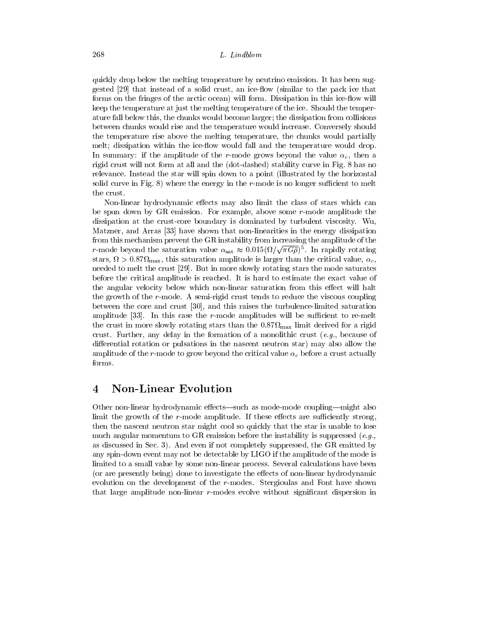quickly drop below the melting temperature by neutrino emission. It has been suggested [29] that instead of a solid crust, an ice-flow (similar to the pack ice that forms on the fringes of the arctic ocean) will form. Dissipation in this ice-flow will keep the temperature at just the melting temperature of the ice. Should the temperature fall below this, the chunks would become larger; the dissipation from collisions between chunks would rise and the temperature would increase. Conversely should the temperature rise above the melting temperature, the chunks would partially melt; dissipation within the ice-flow would fall and the temperature would drop. In summary: if the amplitude of the r-mode grows beyond the value  $\alpha_c$ , then a rigid crust will not form at all and the (dot-dashed) stability curve in Fig. 8 has no relevance. Instead the star will spin down to a point (illustrated by the horizontal solid curve in Fig.  $8$ ) where the energy in the r-mode is no longer sufficient to melt the crust.

Non-linear hydrodynamic effects may also limit the class of stars which can be spun down by GR emission. For example, above some r-mode amplitude the dissipation atthe crust-core boundary is dominated by turbulent viscosity. Wu, Matzner, and Arras [33] have shown that non-linearities in the energy dissipation from this mechanism prevent the GR instability from increasing the amplitude of the r-mode beyond the saturation value  $\alpha_{\rm sat} \approx 0.015 (\Omega/\sqrt{\pi G\rho})^5$ . In rapidly rotating stars, is the start  $\max$  , then we can the critical value is larger than the critical value, company of  $\Omega$ needed to melt the crust [29]. But in more slowly rotating stars the mode saturates before the critical amplitude is reached. It is hard to estimate the exact value of the angular velocity below which non-linear saturation from this effect will halt the growth of the r-mode. A semi-rigid crust tends to reduce the viscous coupling between the core and crust [30], and this raises the turbulence-limited saturation amplitude  $[33]$ . In this case the r-mode amplitudes will be sufficient to re-melt the crust in more stars  $\mu$  rotating stars than the 0:87 million increases the crust in rigid  $\mu$ crust. Further, any delay in the formation of a monolithic crust  $(e.g.,)$  because of differential rotation or pulsations in the nascent neutron star) may also allow the amplitude of the r-mode to grow beyond the critical value  $\alpha_c$  before a crust actually forms.

### 4 Non-Linear Evolution

Other non-linear hydrodynamic effects—such as mode-mode coupling—might also limit the growth of the  $r$ -mode amplitude. If these effects are sufficiently strong, then the nascent neutron star might cool so quickly that the star is unable to lose much angular momentum to GR emission before the instability is suppressed  $(e.g.,)$ as discussed in Sec. 3). And even if not completely suppressed, the GR emitted by any spin-down event may not be detectable by LIGO if the amplitude of the mode is limited to a small value by some non-linear process. Several calculations have been (or are presently being) done to investigate the effects of non-linear hydrodynamic evolution on the development of the r-modes. Stergioulas and Font have shown that large amplitude non-linear r-modes evolve without significant dispersion in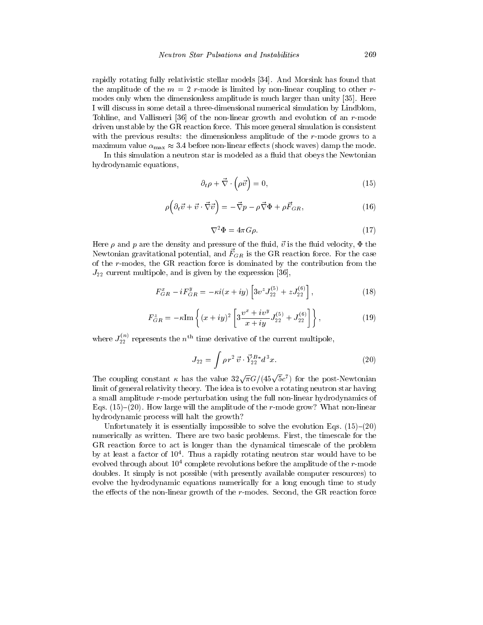rapidly rotating fully relativistic stellar models [34]. And Morsink has found that the amplitude of the  $m = 2$  r-mode is limited by non-linear coupling to other rmodes only when the dimensionless amplitude is much larger than unity [35]. Here I will discuss in some detail a three-dimensional numerical simulation by Lindblom, Tohline, and Vallisneri [36] of the non-linear growth and evolution of an r-mode driven unstable by the GR reaction force. This more general simulation is consistent with the previous results: the dimensionless amplitude of the r-mode grows to a maximum value  $\alpha_{\text{max}} \approx 3.4$  before non-linear effects (shock waves) damp the mode.

In this simulation a neutron star is modeled as a fluid that obeys the Newtonian hydrodynamic equations,

$$
\partial_t \rho + \vec{\nabla} \cdot \left( \rho \vec{v} \right) = 0, \tag{15}
$$

$$
\rho \left( \partial_t \vec{v} + \vec{v} \cdot \vec{\nabla} \vec{v} \right) = -\vec{\nabla} p - \rho \vec{\nabla} \Phi + \rho \vec{F}_{GR}, \qquad (16)
$$

$$
\nabla^2 \Phi = 4\pi G \rho. \tag{17}
$$

Here  $\rho$  and p are the density and pressure of the fluid,  $\vec{v}$  is the fluid velocity,  $\Phi$  the IVEWTOMAII gravitational potential, and  $FGR$  is the GR reaction force. For the case of the r-modes, the GR reaction force is dominated by the contribution from the  $J_{22}$  current multipole, and is given by the expression [36],

$$
F_{GR}^{x} - iF_{GR}^{y} = -\kappa i(x + iy) \left[3v^{z} J_{22}^{(5)} + z J_{22}^{(6)}\right],
$$
\n(18)

$$
F_{GR}^{z} = -\kappa \text{Im} \left\{ (x+iy)^{2} \left[ 3\frac{v^{x}+iv^{y}}{x+iy} J_{22}^{(5)} + J_{22}^{(6)} \right] \right\},
$$
 (19)

where  $J_{22}^{37}$  represents the  $n^{th}$  time derivative of the current multipole,

$$
J_{22} = \int \rho \, r^2 \, \vec{v} \cdot \vec{Y}_{22}^{B*} d^3 x. \tag{20}
$$

The coupling constant  $\kappa$  has the value  $32\sqrt{\pi}G/(45\sqrt{5}c^7)$  for the post-Newtonian limit of general relativity theory. The idea is to evolve a rotating neutron star having a small amplitude r-mode perturbation using the full non-linear hydrodynamics of Eqs.  $(15)-(20)$ . How large will the amplitude of the r-mode grow? What non-linear hydrodynamic process will halt the growth?

Unfortunately it is essentially impossible to solve the evolution Eqs.  $(15)-(20)$ numerically as written. There are two basic problems. First, the timescale for the GR reaction force to act is longer than the dynamical timescale of the problem by at least a factor of 104. Thus a rapidly rotating neutron star would have to be evolved through about  $10^4$  complete revolutions before the amplitude of the r-mode doubles. It simply is not possible (with presently available computer resources) to evolve the hydrodynamic equations numerically for a long enough time to study the effects of the non-linear growth of the  $r$ -modes. Second, the GR reaction force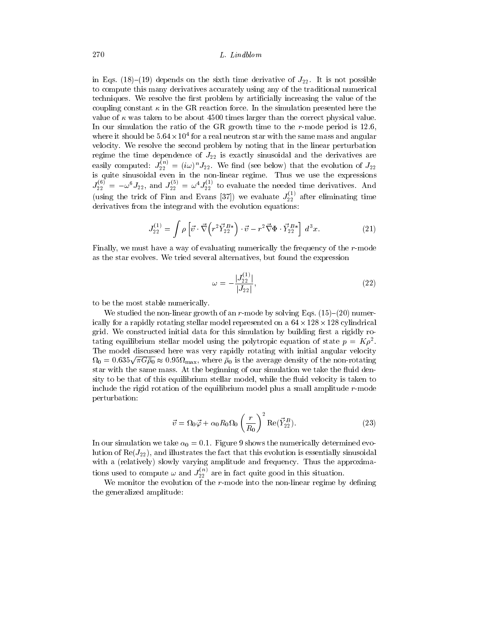in Eqs. (18)–(19) depends on the sixth time derivative of  $J_{22}$ . It is not possible to compute this many derivatives accurately using any of the traditional numerical techniques. We resolve the first problem by artificially increasing the value of the coupling constant  $\kappa$  in the GR reaction force. In the simulation presented here the value of  $\kappa$  was taken to be about 4500 times larger than the correct physical value. In our simulation the ratio of the GR growth time to the r-mode period is 12.6, where it should be 5.04 x 10° for a real neutron star with the same mass and angular velocity. We resolve the second problem by noting that in the linear perturbation regime the time dependence of J22 is exactly sinusoidal and the derivatives are easily computed:  $J_{22}^{\infty} = (i\omega)^n J_{22}$ . We find (see below) that the evolution of  $J_{22}$ is quite sinusoidal even in the non-linear regime. Thus we use the expressions  $J_{22}^{5/2} = -\omega^3 J_{22}$ , and  $J_{22}^{5/2} = \omega^3 J_{22}^{5/2}$  to evaluate the needed time derivatives. And<br>(i.i.e. the trial of Firm and F are [27]) a separate  $I^{(1)}$  of the dimination time (using the trick of Finni and Evans  $[30]$ ) we evaluate  $\frac{22}{3}$  after eliminating time derivatives from the integrand with the evolution equations:

$$
J_{22}^{(1)} = \int \rho \left[ \vec{v} \cdot \vec{\nabla} \left( r^2 \vec{Y}_{22}^{B*} \right) \cdot \vec{v} - r^2 \vec{\nabla} \Phi \cdot \vec{Y}_{22}^{B*} \right] d^3 x. \tag{21}
$$

Finally, we must have a way of evaluating numerically the frequency of the r-mode as the star evolves. We tried several alternatives, but found the expression

$$
\omega = -\frac{|J_{22}^{(1)}|}{|J_{22}|},\tag{22}
$$

to be the most stable numerically.

We studied the non-linear growth of an r-mode by solving Eqs.  $(15)-(20)$  numerically for a rapidly rotating stellar model represented on a 64-128-128 cylindrical grid. We constructed initial data for this simulation by building first a rigidly rotating equilibrium stellar model using the polytropic equation of state  $p = K \rho^2$ . The model discussed here was very rapidly rotating with initial angular velocity  $\Omega_0 = 0.635\sqrt{\pi G \bar{\rho}_0} \approx 0.95 \Omega_{\rm max}$ , where  $\bar{\rho}_0$  is the average density of the non-rotating star with the same mass. At the beginning of our simulation we take the fluid density to be that of this equilibrium stellar model, while the fluid velocity is taken to include the rigid rotation of the equilibrium model plus a small amplitude r-mode perturbation:

$$
\vec{v} = \Omega_0 \vec{\varphi} + \alpha_0 R_0 \Omega_0 \left(\frac{r}{R_0}\right)^2 \text{Re}(\vec{Y}_{22}^B). \tag{23}
$$

In our simulation we take  $\alpha_0 = 0.1$ . Figure 9 shows the numerically determined evolution of  $\text{Re}(J_{22})$ , and illustrates the fact that this evolution is essentially sinusoidal with a (relatively) slowly varying amplitude and frequency. Thus the approximations used to compute  $\omega$  and  $J_{22}^{<\omega}$  are in fact quite good in this situation.

We monitor the evolution of the  $r$ -mode into the non-linear regime by defining the generalized amplitude: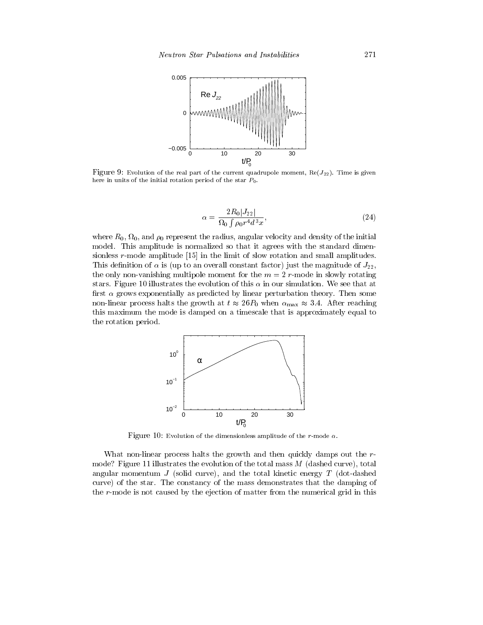

Figure 9: Evolution of the real part of the current quadrupole moment,  $\text{Re}(J_{22})$ . Time is given here in units of the initial rotation period of the star  $P_0$ .

$$
\alpha = \frac{2R_0|J_{22}|}{\Omega_0 \int \rho_0 r^4 d^3 x},\tag{24}
$$

 $\sim$  represent the radius  $\mu_0$  represent the radius, angular velocity and density of the initial model. This amplitude is normalized so that it agrees with the standard dimensionless r-mode amplitude [15] in the limit of slow rotation and small amplitudes. This definition of  $\alpha$  is (up to an overall constant factor) just the magnitude of  $J_{22}$ , the only non-vanishing multipole moment for the  $m = 2$  r-mode in slowly rotating stars. Figure 10 illustrates the evolution of this  $\alpha$  in our simulation. We see that at first  $\alpha$  grows exponentially as predicted by linear perturbation theory. Then some non-linear process halts the growth at  $t \approx 26P_0$  when  $\alpha_{\text{max}} \approx 3.4$ . After reaching this maximum the mode is damped on a timescale that is approximately equal to the rotation period.



Figure 10: Evolution of the dimensionless amplitude of the r-mode  $\alpha$ .

What non-linear process halts the growth and then quickly damps out the rmode? Figure 11 illustrates the evolution of the total mass <sup>M</sup> (dashed curve), total angular momentum  $J$  (solid curve), and the total kinetic energy  $T$  (dot-dashed curve) of the star. The constancy of the mass demonstrates that the damping of the r-mode is not caused by the ejection of matter from the numerical grid in this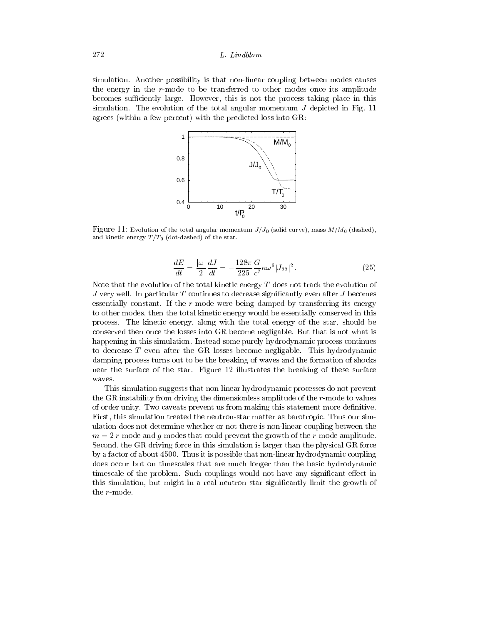simulation. Another possibility is that non-linear coupling between modes causes the energy in the r-mode to be transferred to other modes once its amplitude becomes sufficiently large. However, this is not the process taking place in this simulation. The evolution of the total angular momentum  $J$  depicted in Fig. 11 agrees (within a few percent) with the predicted loss into GR:



Figure 11: Evolution of the total angular momentum  $J/J_0$  (solid curve), mass  $M/M_0$  (dashed), and kinetic energy  $T/T_0$  (dot-dashed) of the star.

$$
\frac{dE}{dt} = \frac{|\omega|}{2} \frac{dJ}{dt} = -\frac{128\pi}{225} \frac{G}{c^7} \kappa \omega^6 |J_{22}|^2.
$$
\n(25)

Note that the evolution of the total kinetic energy  $T$  does not track the evolution of J very well. In particular <sup>T</sup> continues to decrease signicantly even after <sup>J</sup> becomes essentially constant. If the r-mode were being damped by transferring its energy to other modes, then the total kinetic energy would be essentially conserved in this process. The kinetic energy, along with the total energy of the star, should be conserved then once the losses into GR become negligable. But that is not what is happening in this simulation. Instead some purely hydrodynamic process continues to decrease <sup>T</sup> even after the GR losses become negligable. This hydrodynamic damping process turns out to be the breaking of waves and the formation of shocks near the surface of the star. Figure 12 illustrates the breaking of these surface waves.

This simulation suggests that non-linear hydrodynamic processes do not prevent the GR instability from driving the dimensionless amplitude of the r-mode to values of order unity. Two caveats prevent us from making this statement more denitive. First, this simulation treated the neutron-star matter as barotropic. Thus our simulation does not determine whether or not there is non-linear coupling between the m = 2 r-mode and g-modes that could prevent the growth of the r-mode amplitude. Second, the GR driving force in this simulation is larger than the physical GR force by a factor of about 4500. Thus it is possible that non-linear hydrodynamic coupling does occur but on timescales that are much longer than the basic hydrodynamic timescale of the problem. Such couplings would not have any significant effect in this simulation, but might in a real neutron star signicantly limit the growth of the r-mode.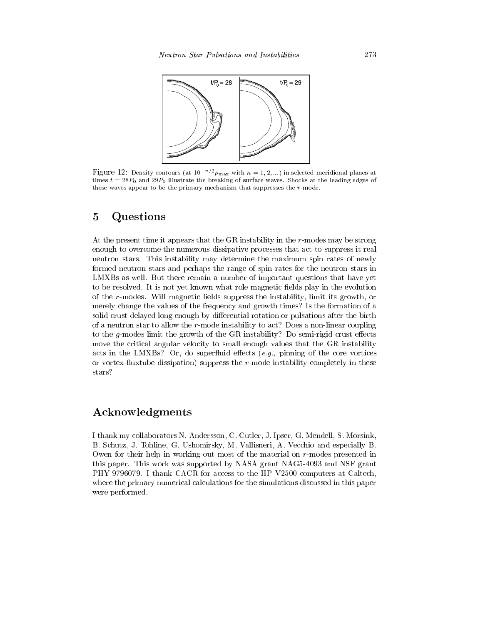

Figure 12: Density contours (at  $10^{-n/2} \rho_{\text{max}}$  with  $n = 1, 2, ...$ ) in selected meridional planes at times  $t = 28P_0$  and  $29P_0$  illustrate the breaking of surface waves. Shocks at the leading edges of these waves appear to be the primary mechanism that suppresses the  $r$ -mode.

### 5 Questions

At the present time it appears that the GR instability in the r-modes may be strong enough to overcome the numerous dissipative processes that act to suppress it real neutron stars. This instability may determine the maximum spin rates of newly formed neutron stars and perhaps the range of spin rates for the neutron stars in LMXBs as well. But there remain a number of important questions that have yet to be resolved. It is not yet known what role magnetic fields play in the evolution of the  $r$ -modes. Will magnetic fields suppress the instability, limit its growth, or merely change the values of the frequency and growth times? Is the formation of a solid crust delayed long enough by differential rotation or pulsations after the birth of a neutron star to allow the r-mode instability to act? Does a non-linear coupling to the g-modes limit the growth of the GR instability? Do semi-rigid crust effects move the critical angular velocity to small enough values that the GR instability acts in the LMXBs? Or, do superfluid effects  $(e.g.,~\mathrm{pinning\ of\ the\ core\ vortices}$ or vortex-fluxtube dissipation) suppress the  $r$ -mode instability completely in these stars?

## Acknowledgments

I thank my collaborators N. Andersson, C. Cutler, J. Ipser, G. Mendell, S. Morsink, B. Schutz, J. Tohline, G. Ushomirsky, M. Vallisneri, A. Vecchio and especially B. Owen for their help in working out most of the material on r-modes presented in this paper. This work was supported by NASA grant NAG5-4093 and NSF grant PHY-9796079. I thank CACR for access to the HP V2500 computers at Caltech, where the primary numerical calculations for the simulations discussed in this paper were performed.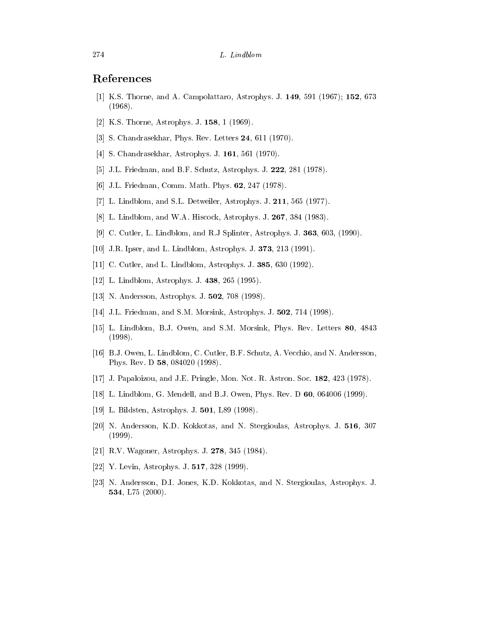- [1] K.S. Thorne, and A. Campolattaro, Astrophys. J. 149, 591 (1967); 152, 673 (1968).
- [2] K.S. Thorne, Astrophys. J. 158, 1 (1969).
- [3] S. Chandrasekhar, Phys. Rev. Letters **24**, 611 (1970).
- [4] S. Chandrasekhar, Astrophys. J. 161, 561 (1970).
- [5] J.L. Friedman, and B.F. Schutz, Astrophys. J. 222, 281 (1978).
- [6] J.L. Friedman, Comm. Math. Phys. 62, 247 (1978).
- [7] L. Lindblom, and S.L. Detweiler, Astrophys. J. 211, 565 (1977).
- [8] L. Lindblom, and W.A. Hiscock, Astrophys. J. 267, 384 (1983).
- [9] C. Cutler, L. Lindblom, and R.J Splinter, Astrophys. J. 363, 603, (1990).
- [10] J.R. Ipser, and L. Lindblom, Astrophys. J. 373, 213 (1991).
- [11] C. Cutler, and L. Lindblom, Astrophys. J. **385**, 630 (1992).
- [12] L. Lindblom, Astrophys. J. 438, 265 (1995).
- [13] N. Andersson, Astrophys. J. 502, 708 (1998).
- [14] J.L. Friedman, and S.M. Morsink, Astrophys. J. 502, 714 (1998).
- [15] L. Lindblom, B.J. Owen, and S.M. Morsink, Phys. Rev. Letters 80, 4843 (1998).
- [16] B.J. Owen, L. Lindblom, C. Cutler, B.F. Schutz, A. Vecchio, and N. Andersson, Phys. Rev. D 58, 084020 (1998).
- [17] J. Papaloizou, and J.E. Pringle, Mon. Not. R. Astron. Soc. 182, 423 (1978).
- [18] L. Lindblom, G. Mendell, and B.J. Owen, Phys. Rev. D 60, 064006 (1999).
- [19] L. Bildsten, Astrophys. J. 501, L89 (1998).
- [20] N. Andersson, K.D. Kokkotas, and N. Stergioulas, Astrophys. J. 516, 307 (1999).
- [21] R.V. Wagoner, Astrophys. J. 278, 345 (1984).
- [22] Y. Levin, Astrophys. J. 517, 328 (1999).
- [23] N. Andersson, D.I. Jones, K.D. Kokkotas, and N. Stergioulas, Astrophys. J. 534, L75 (2000).